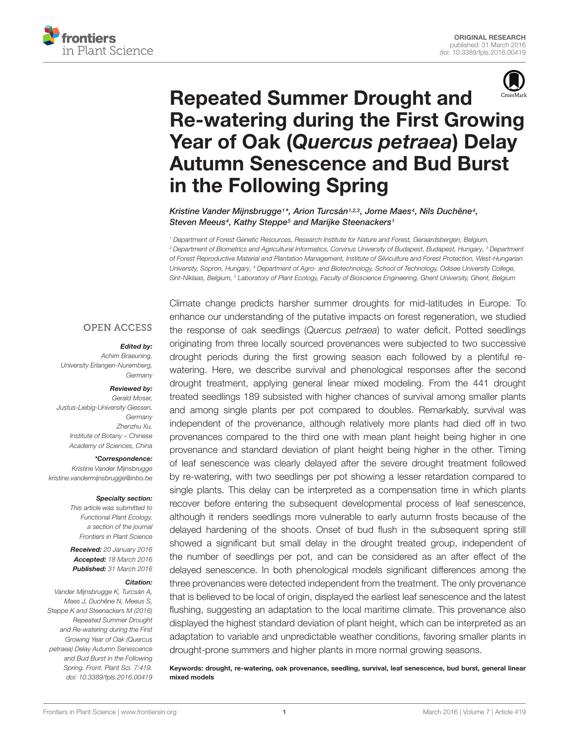



# Repeated Summer Drought and [Re-watering during the First Growing](http://journal.frontiersin.org/article/10.3389/fpls.2016.00419/abstract) Year of Oak (Quercus petraea) Delay Autumn Senescence and Bud Burst in the Following Spring

[Kristine Vander Mijnsbrugge](http://loop.frontiersin.org/people/312117/overview)1\*, [Arion Turcsán](http://loop.frontiersin.org/people/275735/overview)1,2,3, [Jorne Maes](http://loop.frontiersin.org/people/335304/overview)4, [Nils Duchêne](http://loop.frontiersin.org/people/334125/overview)4, [Steven Meeus](http://loop.frontiersin.org/people/336370/overview)<sup>4</sup>, [Kathy Steppe](http://loop.frontiersin.org/people/42593/overview)<sup>5</sup> and [Marijke Steenackers](http://loop.frontiersin.org/people/336818/overview)<sup>1</sup>

<sup>1</sup> Department of Forest Genetic Resources, Research Institute for Nature and Forest, Geraardsbergen, Belgium, <sup>2</sup> Department of Biometrics and Agricultural Informatics, Corvinus University of Budapest, Budapest, Hungary, <sup>3</sup> Department of Forest Reproductive Material and Plantation Management, Institute of Silviculture and Forest Protection, West-Hungarian University, Sopron, Hungary, <sup>4</sup> Department of Agro- and Biotechnology, School of Technology, Odisee University College, Sint-Niklaas, Belgium, <sup>5</sup> Laboratory of Plant Ecology, Faculty of Bioscience Engineering, Ghent University, Ghent, Belgium

#### **OPEN ACCESS**

#### Edited by:

Achim Braeuning, University Erlangen-Nuremberg, **Germany** 

#### Reviewed by:

Gerald Moser Justus-Liebig-University Giessen, **Germany** Zhenzhu Xu, Institute of Botany – Chinese Academy of Sciences, China

\*Correspondence:

Kristine Vander Mijnsbrugge kristine.vandermijnsbrugge@inbo.be

#### Specialty section:

This article was submitted to Functional Plant Ecology, a section of the journal Frontiers in Plant Science

Received: 20 January 2016 Accepted: 18 March 2016 Published: 31 March 2016

#### Citation:

Vander Mijnsbrugge K, Turcsán A, Maes J, Duchêne N, Meeus S, Steppe K and Steenackers M (2016) Repeated Summer Drought and Re-watering during the First Growing Year of Oak (Quercus petraea) Delay Autumn Senescence and Bud Burst in the Following Spring. Front. Plant Sci. 7:419. doi: [10.3389/fpls.2016.00419](http://dx.doi.org/10.3389/fpls.2016.00419)

Climate change predicts harsher summer droughts for mid-latitudes in Europe. To enhance our understanding of the putative impacts on forest regeneration, we studied the response of oak seedlings (Quercus petraea) to water deficit. Potted seedlings originating from three locally sourced provenances were subjected to two successive drought periods during the first growing season each followed by a plentiful rewatering. Here, we describe survival and phenological responses after the second drought treatment, applying general linear mixed modeling. From the 441 drought treated seedlings 189 subsisted with higher chances of survival among smaller plants and among single plants per pot compared to doubles. Remarkably, survival was independent of the provenance, although relatively more plants had died off in two provenances compared to the third one with mean plant height being higher in one provenance and standard deviation of plant height being higher in the other. Timing of leaf senescence was clearly delayed after the severe drought treatment followed by re-watering, with two seedlings per pot showing a lesser retardation compared to single plants. This delay can be interpreted as a compensation time in which plants recover before entering the subsequent developmental process of leaf senescence, although it renders seedlings more vulnerable to early autumn frosts because of the delayed hardening of the shoots. Onset of bud flush in the subsequent spring still showed a significant but small delay in the drought treated group, independent of the number of seedlings per pot, and can be considered as an after effect of the delayed senescence. In both phenological models significant differences among the three provenances were detected independent from the treatment. The only provenance that is believed to be local of origin, displayed the earliest leaf senescence and the latest flushing, suggesting an adaptation to the local maritime climate. This provenance also displayed the highest standard deviation of plant height, which can be interpreted as an adaptation to variable and unpredictable weather conditions, favoring smaller plants in drought-prone summers and higher plants in more normal growing seasons.

Keywords: drought, re-watering, oak provenance, seedling, survival, leaf senescence, bud burst, general linear mixed models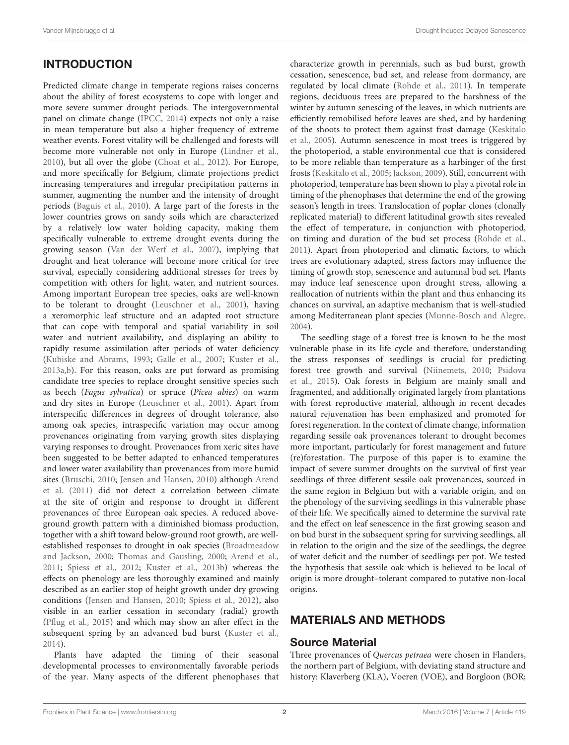# INTRODUCTION

Predicted climate change in temperate regions raises concerns about the ability of forest ecosystems to cope with longer and more severe summer drought periods. The intergovernmental panel on climate change [\(IPCC,](#page-9-0) [2014\)](#page-9-0) expects not only a raise in mean temperature but also a higher frequency of extreme weather events. Forest vitality will be challenged and forests will become more vulnerable not only in Europe [\(Lindner et al.,](#page-9-1) [2010\)](#page-9-1), but all over the globe [\(Choat et al.,](#page-9-2) [2012\)](#page-9-2). For Europe, and more specifically for Belgium, climate projections predict increasing temperatures and irregular precipitation patterns in summer, augmenting the number and the intensity of drought periods [\(Baguis et al.,](#page-9-3) [2010\)](#page-9-3). A large part of the forests in the lower countries grows on sandy soils which are characterized by a relatively low water holding capacity, making them specifically vulnerable to extreme drought events during the growing season [\(Van der Werf et al.,](#page-9-4) [2007\)](#page-9-4), implying that drought and heat tolerance will become more critical for tree survival, especially considering additional stresses for trees by competition with others for light, water, and nutrient sources. Among important European tree species, oaks are well-known to be tolerant to drought [\(Leuschner et al.,](#page-9-5) [2001\)](#page-9-5), having a xeromorphic leaf structure and an adapted root structure that can cope with temporal and spatial variability in soil water and nutrient availability, and displaying an ability to rapidly resume assimilation after periods of water deficiency [\(Kubiske and Abrams,](#page-9-6) [1993;](#page-9-6) [Galle et al.,](#page-9-7) [2007;](#page-9-7) [Kuster et al.,](#page-9-8) [2013a,](#page-9-8)[b\)](#page-9-9). For this reason, oaks are put forward as promising candidate tree species to replace drought sensitive species such as beech (Fagus sylvatica) or spruce (Picea abies) on warm and dry sites in Europe [\(Leuschner et al.,](#page-9-5) [2001\)](#page-9-5). Apart from interspecific differences in degrees of drought tolerance, also among oak species, intraspecific variation may occur among provenances originating from varying growth sites displaying varying responses to drought. Provenances from xeric sites have been suggested to be better adapted to enhanced temperatures and lower water availability than provenances from more humid sites [\(Bruschi,](#page-9-10) [2010;](#page-9-10) [Jensen and Hansen,](#page-9-11) [2010\)](#page-9-11) although [Arend](#page-9-12) [et al.](#page-9-12) [\(2011\)](#page-9-12) did not detect a correlation between climate at the site of origin and response to drought in different provenances of three European oak species. A reduced aboveground growth pattern with a diminished biomass production, together with a shift toward below-ground root growth, are wellestablished responses to drought in oak species [\(Broadmeadow](#page-9-13) [and Jackson,](#page-9-13) [2000;](#page-9-13) [Thomas and Gausling,](#page-9-14) [2000;](#page-9-14) [Arend et al.,](#page-9-12) [2011;](#page-9-12) [Spiess et al.,](#page-9-15) [2012;](#page-9-15) [Kuster et al.,](#page-9-9) [2013b\)](#page-9-9) whereas the effects on phenology are less thoroughly examined and mainly described as an earlier stop of height growth under dry growing conditions [\(Jensen and Hansen,](#page-9-11) [2010;](#page-9-11) [Spiess et al.,](#page-9-15) [2012\)](#page-9-15), also visible in an earlier cessation in secondary (radial) growth [\(Pflug et al.,](#page-9-16) [2015\)](#page-9-16) and which may show an after effect in the subsequent spring by an advanced bud burst [\(Kuster et al.,](#page-9-17) [2014\)](#page-9-17).

Plants have adapted the timing of their seasonal developmental processes to environmentally favorable periods of the year. Many aspects of the different phenophases that characterize growth in perennials, such as bud burst, growth cessation, senescence, bud set, and release from dormancy, are regulated by local climate [\(Rohde et al.,](#page-9-18) [2011\)](#page-9-18). In temperate regions, deciduous trees are prepared to the harshness of the winter by autumn senescing of the leaves, in which nutrients are efficiently remobilised before leaves are shed, and by hardening of the shoots to protect them against frost damage [\(Keskitalo](#page-9-19) [et al.,](#page-9-19) [2005\)](#page-9-19). Autumn senescence in most trees is triggered by the photoperiod, a stable environmental cue that is considered to be more reliable than temperature as a harbinger of the first frosts [\(Keskitalo et al.,](#page-9-19) [2005;](#page-9-19) [Jackson,](#page-9-20) [2009\)](#page-9-20). Still, concurrent with photoperiod, temperature has been shown to play a pivotal role in timing of the phenophases that determine the end of the growing season's length in trees. Translocation of poplar clones (clonally replicated material) to different latitudinal growth sites revealed the effect of temperature, in conjunction with photoperiod, on timing and duration of the bud set process [\(Rohde et al.,](#page-9-18) [2011\)](#page-9-18). Apart from photoperiod and climatic factors, to which trees are evolutionary adapted, stress factors may influence the timing of growth stop, senescence and autumnal bud set. Plants may induce leaf senescence upon drought stress, allowing a reallocation of nutrients within the plant and thus enhancing its chances on survival, an adaptive mechanism that is well-studied among Mediterranean plant species [\(Munne-Bosch and Alegre,](#page-9-21) [2004\)](#page-9-21).

The seedling stage of a forest tree is known to be the most vulnerable phase in its life cycle and therefore, understanding the stress responses of seedlings is crucial for predicting forest tree growth and survival [\(Niinemets,](#page-9-22) [2010;](#page-9-22) [Psidova](#page-9-23) [et al.,](#page-9-23) [2015\)](#page-9-23). Oak forests in Belgium are mainly small and fragmented, and additionally originated largely from plantations with forest reproductive material, although in recent decades natural rejuvenation has been emphasized and promoted for forest regeneration. In the context of climate change, information regarding sessile oak provenances tolerant to drought becomes more important, particularly for forest management and future (re)forestation. The purpose of this paper is to examine the impact of severe summer droughts on the survival of first year seedlings of three different sessile oak provenances, sourced in the same region in Belgium but with a variable origin, and on the phenology of the surviving seedlings in this vulnerable phase of their life. We specifically aimed to determine the survival rate and the effect on leaf senescence in the first growing season and on bud burst in the subsequent spring for surviving seedlings, all in relation to the origin and the size of the seedlings, the degree of water deficit and the number of seedlings per pot. We tested the hypothesis that sessile oak which is believed to be local of origin is more drought–tolerant compared to putative non-local origins.

## MATERIALS AND METHODS

### Source Material

Three provenances of Quercus petraea were chosen in Flanders, the northern part of Belgium, with deviating stand structure and history: Klaverberg (KLA), Voeren (VOE), and Borgloon (BOR;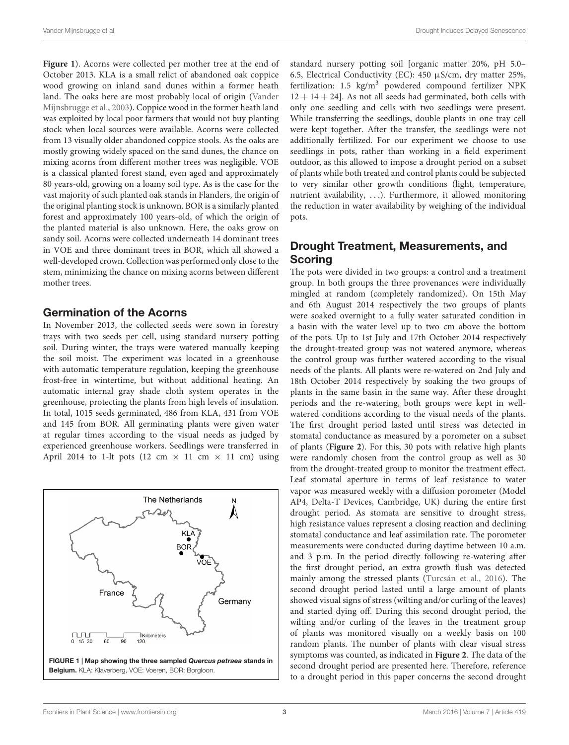**[Figure 1](#page-2-0)**). Acorns were collected per mother tree at the end of October 2013. KLA is a small relict of abandoned oak coppice wood growing on inland sand dunes within a former heath land. The oaks here are most probably local of origin [\(Vander](#page-9-24) [Mijnsbrugge et al.,](#page-9-24) [2003\)](#page-9-24). Coppice wood in the former heath land was exploited by local poor farmers that would not buy planting stock when local sources were available. Acorns were collected from 13 visually older abandoned coppice stools. As the oaks are mostly growing widely spaced on the sand dunes, the chance on mixing acorns from different mother trees was negligible. VOE is a classical planted forest stand, even aged and approximately 80 years-old, growing on a loamy soil type. As is the case for the vast majority of such planted oak stands in Flanders, the origin of the original planting stock is unknown. BOR is a similarly planted forest and approximately 100 years-old, of which the origin of the planted material is also unknown. Here, the oaks grow on sandy soil. Acorns were collected underneath 14 dominant trees in VOE and three dominant trees in BOR, which all showed a well-developed crown. Collection was performed only close to the stem, minimizing the chance on mixing acorns between different mother trees.

### Germination of the Acorns

In November 2013, the collected seeds were sown in forestry trays with two seeds per cell, using standard nursery potting soil. During winter, the trays were watered manually keeping the soil moist. The experiment was located in a greenhouse with automatic temperature regulation, keeping the greenhouse frost-free in wintertime, but without additional heating. An automatic internal gray shade cloth system operates in the greenhouse, protecting the plants from high levels of insulation. In total, 1015 seeds germinated, 486 from KLA, 431 from VOE and 145 from BOR. All germinating plants were given water at regular times according to the visual needs as judged by experienced greenhouse workers. Seedlings were transferred in April 2014 to 1-lt pots (12 cm  $\times$  11 cm  $\times$  11 cm) using

<span id="page-2-0"></span>

standard nursery potting soil [organic matter 20%, pH 5.0– 6.5, Electrical Conductivity (EC): 450 µS/cm, dry matter 25%, fertilization:  $1.5 \text{ kg/m}^3$  powdered compound fertilizer NPK  $12 + 14 + 24$ . As not all seeds had germinated, both cells with only one seedling and cells with two seedlings were present. While transferring the seedlings, double plants in one tray cell were kept together. After the transfer, the seedlings were not additionally fertilized. For our experiment we choose to use seedlings in pots, rather than working in a field experiment outdoor, as this allowed to impose a drought period on a subset of plants while both treated and control plants could be subjected to very similar other growth conditions (light, temperature, nutrient availability, . . .). Furthermore, it allowed monitoring the reduction in water availability by weighing of the individual pots.

## Drought Treatment, Measurements, and **Scoring**

The pots were divided in two groups: a control and a treatment group. In both groups the three provenances were individually mingled at random (completely randomized). On 15th May and 6th August 2014 respectively the two groups of plants were soaked overnight to a fully water saturated condition in a basin with the water level up to two cm above the bottom of the pots. Up to 1st July and 17th October 2014 respectively the drought-treated group was not watered anymore, whereas the control group was further watered according to the visual needs of the plants. All plants were re-watered on 2nd July and 18th October 2014 respectively by soaking the two groups of plants in the same basin in the same way. After these drought periods and the re-watering, both groups were kept in wellwatered conditions according to the visual needs of the plants. The first drought period lasted until stress was detected in stomatal conductance as measured by a porometer on a subset of plants (**[Figure 2](#page-3-0)**). For this, 30 pots with relative high plants were randomly chosen from the control group as well as 30 from the drought-treated group to monitor the treatment effect. Leaf stomatal aperture in terms of leaf resistance to water vapor was measured weekly with a diffusion porometer (Model AP4, Delta-T Devices, Cambridge, UK) during the entire first drought period. As stomata are sensitive to drought stress, high resistance values represent a closing reaction and declining stomatal conductance and leaf assimilation rate. The porometer measurements were conducted during daytime between 10 a.m. and 3 p.m. In the period directly following re-watering after the first drought period, an extra growth flush was detected mainly among the stressed plants [\(Turcsán et al.,](#page-9-25) [2016\)](#page-9-25). The second drought period lasted until a large amount of plants showed visual signs of stress (wilting and/or curling of the leaves) and started dying off. During this second drought period, the wilting and/or curling of the leaves in the treatment group of plants was monitored visually on a weekly basis on 100 random plants. The number of plants with clear visual stress symptoms was counted, as indicated in **[Figure 2](#page-3-0)**. The data of the second drought period are presented here. Therefore, reference to a drought period in this paper concerns the second drought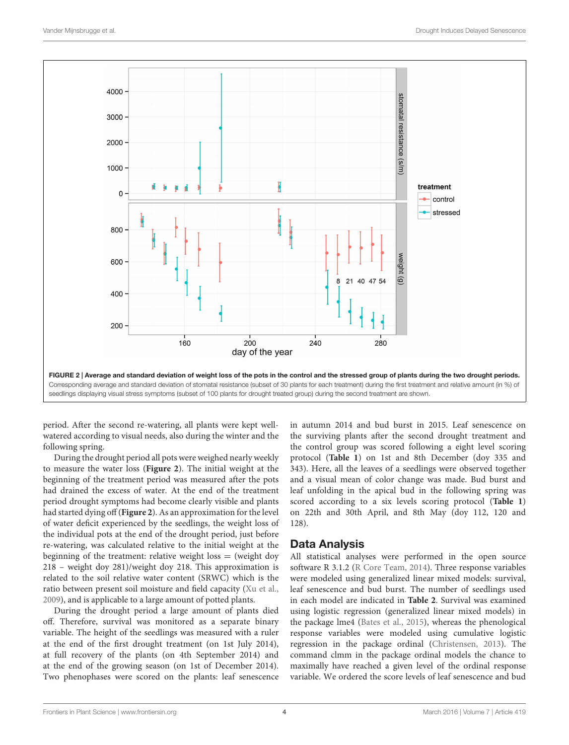

<span id="page-3-0"></span>period. After the second re-watering, all plants were kept wellwatered according to visual needs, also during the winter and the following spring.

During the drought period all pots were weighed nearly weekly to measure the water loss (**[Figure 2](#page-3-0)**). The initial weight at the beginning of the treatment period was measured after the pots had drained the excess of water. At the end of the treatment period drought symptoms had become clearly visible and plants had started dying off (**[Figure 2](#page-3-0)**). As an approximation for the level of water deficit experienced by the seedlings, the weight loss of the individual pots at the end of the drought period, just before re-watering, was calculated relative to the initial weight at the beginning of the treatment: relative weight loss  $=$  (weight doy 218 – weight doy 281)/weight doy 218. This approximation is related to the soil relative water content (SRWC) which is the ratio between present soil moisture and field capacity [\(Xu et al.,](#page-10-0) [2009\)](#page-10-0), and is applicable to a large amount of potted plants.

During the drought period a large amount of plants died off. Therefore, survival was monitored as a separate binary variable. The height of the seedlings was measured with a ruler at the end of the first drought treatment (on 1st July 2014), at full recovery of the plants (on 4th September 2014) and at the end of the growing season (on 1st of December 2014). Two phenophases were scored on the plants: leaf senescence in autumn 2014 and bud burst in 2015. Leaf senescence on the surviving plants after the second drought treatment and the control group was scored following a eight level scoring protocol (**[Table 1](#page-4-0)**) on 1st and 8th December (doy 335 and 343). Here, all the leaves of a seedlings were observed together and a visual mean of color change was made. Bud burst and leaf unfolding in the apical bud in the following spring was scored according to a six levels scoring protocol (**[Table 1](#page-4-0)**) on 22th and 30th April, and 8th May (doy 112, 120 and 128).

### Data Analysis

All statistical analyses were performed in the open source software R 3.1.2 [\(R Core Team,](#page-9-26) [2014\)](#page-9-26). Three response variables were modeled using generalized linear mixed models: survival, leaf senescence and bud burst. The number of seedlings used in each model are indicated in **[Table 2](#page-5-0)**. Survival was examined using logistic regression (generalized linear mixed models) in the package lme4 [\(Bates et al.,](#page-9-27) [2015\)](#page-9-27), whereas the phenological response variables were modeled using cumulative logistic regression in the package ordinal [\(Christensen,](#page-9-28) [2013\)](#page-9-28). The command clmm in the package ordinal models the chance to maximally have reached a given level of the ordinal response variable. We ordered the score levels of leaf senescence and bud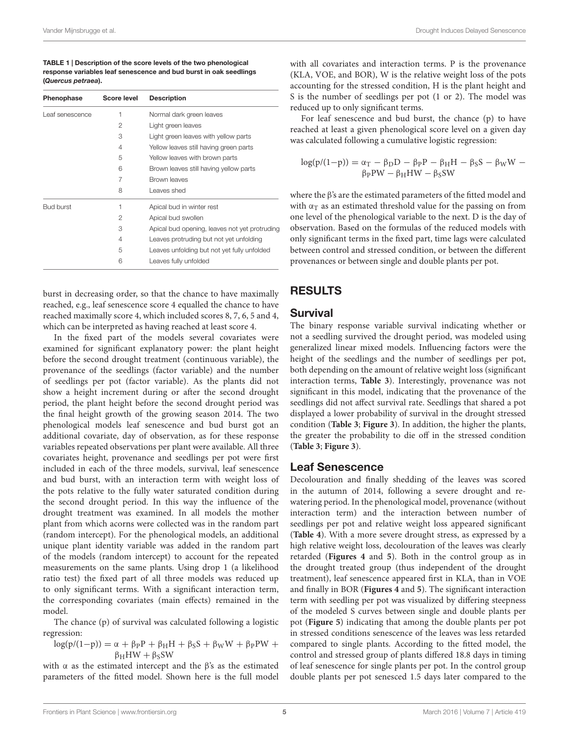<span id="page-4-0"></span>TABLE 1 | Description of the score levels of the two phenological response variables leaf senescence and bud burst in oak seedlings (Quercus petraea).

| Phenophase       | <b>Score level</b> | <b>Description</b>                            |
|------------------|--------------------|-----------------------------------------------|
| Leaf senescence  | 1                  | Normal dark green leaves                      |
|                  | 2                  | Light green leaves                            |
|                  | 3                  | Light green leaves with yellow parts          |
|                  | 4                  | Yellow leaves still having green parts        |
|                  | 5                  | Yellow leaves with brown parts                |
|                  | 6                  | Brown leaves still having yellow parts        |
|                  | 7                  | Brown leaves                                  |
|                  | 8                  | Leaves shed                                   |
| <b>Bud burst</b> | 1                  | Apical bud in winter rest                     |
|                  | 2                  | Apical bud swollen                            |
|                  | 3                  | Apical bud opening, leaves not yet protruding |
|                  | 4                  | Leaves protruding but not yet unfolding       |
|                  | 5                  | Leaves unfolding but not yet fully unfolded   |
|                  | 6                  | Leaves fully unfolded                         |

burst in decreasing order, so that the chance to have maximally reached, e.g., leaf senescence score 4 equalled the chance to have reached maximally score 4, which included scores 8, 7, 6, 5 and 4, which can be interpreted as having reached at least score 4.

In the fixed part of the models several covariates were examined for significant explanatory power: the plant height before the second drought treatment (continuous variable), the provenance of the seedlings (factor variable) and the number of seedlings per pot (factor variable). As the plants did not show a height increment during or after the second drought period, the plant height before the second drought period was the final height growth of the growing season 2014. The two phenological models leaf senescence and bud burst got an additional covariate, day of observation, as for these response variables repeated observations per plant were available. All three covariates height, provenance and seedlings per pot were first included in each of the three models, survival, leaf senescence and bud burst, with an interaction term with weight loss of the pots relative to the fully water saturated condition during the second drought period. In this way the influence of the drought treatment was examined. In all models the mother plant from which acorns were collected was in the random part (random intercept). For the phenological models, an additional unique plant identity variable was added in the random part of the models (random intercept) to account for the repeated measurements on the same plants. Using drop 1 (a likelihood ratio test) the fixed part of all three models was reduced up to only significant terms. With a significant interaction term, the corresponding covariates (main effects) remained in the model.

The chance (p) of survival was calculated following a logistic regression:

$$
log(p/(1-p)) = \alpha + \beta_P P + \beta_H H + \beta_S S + \beta_W W + \beta_P PW + \beta_H HW + \beta_S SW
$$

with  $\alpha$  as the estimated intercept and the  $\beta$ 's as the estimated parameters of the fitted model. Shown here is the full model with all covariates and interaction terms. P is the provenance (KLA, VOE, and BOR), W is the relative weight loss of the pots accounting for the stressed condition, H is the plant height and S is the number of seedlings per pot (1 or 2). The model was reduced up to only significant terms.

For leaf senescence and bud burst, the chance (p) to have reached at least a given phenological score level on a given day was calculated following a cumulative logistic regression:

$$
\begin{array}{c} \log(p/(1\!-\!p)) = \alpha_{\rm T} - \beta_{\rm D}D - \beta_{\rm P}P - \beta_{\rm H}H - \beta_{\rm S}S - \beta_{\rm W}W - \\ \beta_{\rm P}PW - \beta_{\rm H}HW - \beta_{\rm S}SW \end{array}
$$

where the β's are the estimated parameters of the fitted model and with  $\alpha_T$  as an estimated threshold value for the passing on from one level of the phenological variable to the next. D is the day of observation. Based on the formulas of the reduced models with only significant terms in the fixed part, time lags were calculated between control and stressed condition, or between the different provenances or between single and double plants per pot.

# RESULTS

### Survival

The binary response variable survival indicating whether or not a seedling survived the drought period, was modeled using generalized linear mixed models. Influencing factors were the height of the seedlings and the number of seedlings per pot, both depending on the amount of relative weight loss (significant interaction terms, **[Table 3](#page-5-1)**). Interestingly, provenance was not significant in this model, indicating that the provenance of the seedlings did not affect survival rate. Seedlings that shared a pot displayed a lower probability of survival in the drought stressed condition (**[Table 3](#page-5-1)**; **[Figure 3](#page-5-2)**). In addition, the higher the plants, the greater the probability to die off in the stressed condition (**[Table 3](#page-5-1)**; **[Figure 3](#page-5-2)**).

### Leaf Senescence

Decolouration and finally shedding of the leaves was scored in the autumn of 2014, following a severe drought and rewatering period. In the phenological model, provenance (without interaction term) and the interaction between number of seedlings per pot and relative weight loss appeared significant (**[Table 4](#page-6-0)**). With a more severe drought stress, as expressed by a high relative weight loss, decolouration of the leaves was clearly retarded (**[Figures 4](#page-6-1)** and **5**). Both in the control group as in the drought treated group (thus independent of the drought treatment), leaf senescence appeared first in KLA, than in VOE and finally in BOR (**[Figures 4](#page-6-1)** and **5**). The significant interaction term with seedling per pot was visualized by differing steepness of the modeled S curves between single and double plants per pot (**[Figure 5](#page-6-2)**) indicating that among the double plants per pot in stressed conditions senescence of the leaves was less retarded compared to single plants. According to the fitted model, the control and stressed group of plants differed 18.8 days in timing of leaf senescence for single plants per pot. In the control group double plants per pot senesced 1.5 days later compared to the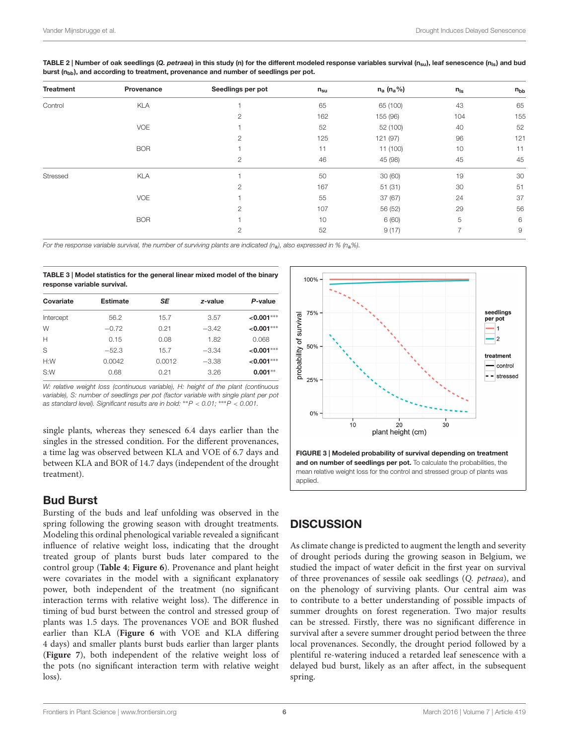| <b>Treatment</b> | Provenance | Seedlings per pot | $n_{su}$ | $n_a$ ( $n_a$ %) | $n_{\rm ls}$   | $n_{bb}$       |
|------------------|------------|-------------------|----------|------------------|----------------|----------------|
| Control          | <b>KLA</b> |                   | 65       | 65 (100)         | 43             | 65             |
|                  |            | $\mathbf{2}$      | 162      | 155 (96)         | 104            | 155            |
|                  | <b>VOE</b> |                   | 52       | 52 (100)         | 40             | 52             |
|                  |            | $\overline{2}$    | 125      | 121 (97)         | 96             | 121            |
|                  | <b>BOR</b> |                   | 11       | 11 (100)         | 10             | 11             |
|                  |            | $\mathbf{2}$      | 46       | 45 (98)          | 45             | 45             |
| Stressed         | <b>KLA</b> |                   | 50       | 30(60)           | 19             | 30             |
|                  |            | $\mathbf{2}$      | 167      | 51(31)           | 30             | 51             |
|                  | <b>VOE</b> |                   | 55       | 37(67)           | 24             | 37             |
|                  |            | $\overline{2}$    | 107      | 56 (52)          | 29             | 56             |
|                  | <b>BOR</b> |                   | 10       | 6 (60)           | 5              | 6              |
|                  |            | $\mathbf{2}$      | 52       | 9(17)            | $\overline{ }$ | $\overline{9}$ |

<span id="page-5-0"></span>TABLE 2 | Number of oak seedlings (Q. petraea) in this study (n) for the different modeled response variables survival  $(n_{\rm su})$ , leaf senescence  $(n_{\rm ls})$  and bud burst  $(n_{\text{hh}})$ , and according to treatment, provenance and number of seedlings per pot.

For the response variable survival, the number of surviving plants are indicated (n<sub>a</sub>), also expressed in % (n<sub>a</sub>%).

<span id="page-5-1"></span>TABLE 3 | Model statistics for the general linear mixed model of the binary response variable survival.

| Covariate | <b>Estimate</b> | SE     | z-value | P-value         |
|-----------|-----------------|--------|---------|-----------------|
| Intercept | 56.2            | 15.7   | 3.57    | $< 0.001***$    |
| W         | $-0.72$         | 0.21   | $-3.42$ | $< 0.001***$    |
| Н         | 0.15            | 0.08   | 1.82    | 0.068           |
| S         | $-52.3$         | 15.7   | $-3.34$ | $< 0.001***$    |
| H:W       | 0.0042          | 0.0012 | $-3.38$ | $\leq 0.001***$ |
| S:W       | 0.68            | 0.21   | 3.26    | $0.001***$      |

W: relative weight loss (continuous variable), H: height of the plant (continuous variable), S: number of seedlings per pot (factor variable with single plant per pot as standard level). Significant results are in bold: ∗∗P < 0.01; ∗∗∗P < 0.001.

single plants, whereas they senesced 6.4 days earlier than the singles in the stressed condition. For the different provenances, a time lag was observed between KLA and VOE of 6.7 days and between KLA and BOR of 14.7 days (independent of the drought treatment).

## Bud Burst

Bursting of the buds and leaf unfolding was observed in the spring following the growing season with drought treatments. Modeling this ordinal phenological variable revealed a significant influence of relative weight loss, indicating that the drought treated group of plants burst buds later compared to the control group (**[Table 4](#page-6-0)**; **[Figure 6](#page-7-0)**). Provenance and plant height were covariates in the model with a significant explanatory power, both independent of the treatment (no significant interaction terms with relative weight loss). The difference in timing of bud burst between the control and stressed group of plants was 1.5 days. The provenances VOE and BOR flushed earlier than KLA (**[Figure 6](#page-7-0)** with VOE and KLA differing 4 days) and smaller plants burst buds earlier than larger plants (**[Figure 7](#page-7-1)**), both independent of the relative weight loss of the pots (no significant interaction term with relative weight loss).



<span id="page-5-2"></span>and on number of seedlings per pot. To calculate the probabilities, the mean relative weight loss for the control and stressed group of plants was applied.

# **DISCUSSION**

As climate change is predicted to augment the length and severity of drought periods during the growing season in Belgium, we studied the impact of water deficit in the first year on survival of three provenances of sessile oak seedlings (Q. petraea), and on the phenology of surviving plants. Our central aim was to contribute to a better understanding of possible impacts of summer droughts on forest regeneration. Two major results can be stressed. Firstly, there was no significant difference in survival after a severe summer drought period between the three local provenances. Secondly, the drought period followed by a plentiful re-watering induced a retarded leaf senescence with a delayed bud burst, likely as an after affect, in the subsequent spring.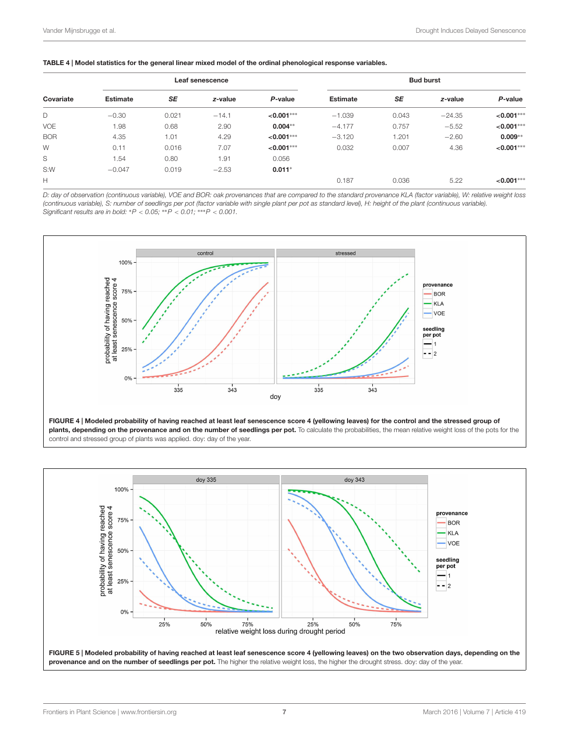<span id="page-6-0"></span>

|            | Leaf senescence |           |         | <b>Bud burst</b> |                 |           |          |              |
|------------|-----------------|-----------|---------|------------------|-----------------|-----------|----------|--------------|
| Covariate  | <b>Estimate</b> | <b>SE</b> | z-value | P-value          | <b>Estimate</b> | <b>SE</b> | z-value  | P-value      |
| D          | $-0.30$         | 0.021     | $-14.1$ | $< 0.001***$     | $-1.039$        | 0.043     | $-24.35$ | $< 0.001***$ |
| <b>VOE</b> | 1.98            | 0.68      | 2.90    | $0.004***$       | $-4.177$        | 0.757     | $-5.52$  | $< 0.001***$ |
| <b>BOR</b> | 4.35            | 1.01      | 4.29    | $< 0.001***$     | $-3.120$        | 1.201     | $-2.60$  | $0.009**$    |
| W          | 0.11            | 0.016     | 7.07    | $< 0.001***$     | 0.032           | 0.007     | 4.36     | $< 0.001***$ |
| S          | 1.54            | 0.80      | 1.91    | 0.056            |                 |           |          |              |
| S:W        | $-0.047$        | 0.019     | $-2.53$ | $0.011*$         |                 |           |          |              |
| Н          |                 |           |         |                  | 0.187           | 0.036     | 5.22     | $< 0.001***$ |

D: day of observation (continuous variable), VOE and BOR: oak provenances that are compared to the standard provenance KLA (factor variable), W: relative weight loss (continuous variable), S: number of seedlings per pot (factor variable with single plant per pot as standard level), H: height of the plant (continuous variable).<br>Significant results are in bold: \*P < 0.05; \*\*P < 0.01; \*\*\*



<span id="page-6-1"></span>plants, depending on the provenance and on the number of seedlings per pot. To calculate the probabilities, the mean relative weight loss of the pots for the control and stressed group of plants was applied. doy: day of the year.

<span id="page-6-2"></span>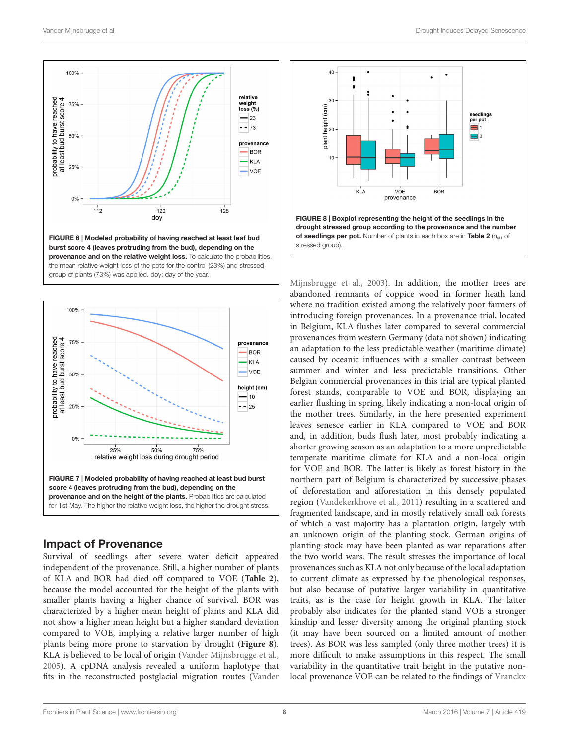

<span id="page-7-0"></span>

### <span id="page-7-1"></span>Impact of Provenance

Survival of seedlings after severe water deficit appeared independent of the provenance. Still, a higher number of plants of KLA and BOR had died off compared to VOE (**[Table 2](#page-5-0)**), because the model accounted for the height of the plants with smaller plants having a higher chance of survival. BOR was characterized by a higher mean height of plants and KLA did not show a higher mean height but a higher standard deviation compared to VOE, implying a relative larger number of high plants being more prone to starvation by drought (**[Figure 8](#page-7-2)**). KLA is believed to be local of origin [\(Vander Mijnsbrugge et al.,](#page-9-29) [2005\)](#page-9-29). A cpDNA analysis revealed a uniform haplotype that fits in the reconstructed postglacial migration routes [\(Vander](#page-9-24)



<span id="page-7-2"></span>[Mijnsbrugge et al.,](#page-9-24) [2003\)](#page-9-24). In addition, the mother trees are abandoned remnants of coppice wood in former heath land where no tradition existed among the relatively poor farmers of introducing foreign provenances. In a provenance trial, located in Belgium, KLA flushes later compared to several commercial provenances from western Germany (data not shown) indicating an adaptation to the less predictable weather (maritime climate) caused by oceanic influences with a smaller contrast between summer and winter and less predictable transitions. Other Belgian commercial provenances in this trial are typical planted forest stands, comparable to VOE and BOR, displaying an earlier flushing in spring, likely indicating a non-local origin of the mother trees. Similarly, in the here presented experiment leaves senesce earlier in KLA compared to VOE and BOR and, in addition, buds flush later, most probably indicating a shorter growing season as an adaptation to a more unpredictable temperate maritime climate for KLA and a non-local origin for VOE and BOR. The latter is likely as forest history in the northern part of Belgium is characterized by successive phases of deforestation and afforestation in this densely populated region [\(Vandekerkhove et al.,](#page-9-30) [2011\)](#page-9-30) resulting in a scattered and fragmented landscape, and in mostly relatively small oak forests of which a vast majority has a plantation origin, largely with an unknown origin of the planting stock. German origins of planting stock may have been planted as war reparations after the two world wars. The result stresses the importance of local provenances such as KLA not only because of the local adaptation to current climate as expressed by the phenological responses, but also because of putative larger variability in quantitative traits, as is the case for height growth in KLA. The latter probably also indicates for the planted stand VOE a stronger kinship and lesser diversity among the original planting stock (it may have been sourced on a limited amount of mother trees). As BOR was less sampled (only three mother trees) it is more difficult to make assumptions in this respect. The small variability in the quantitative trait height in the putative nonlocal provenance VOE can be related to the findings of [Vranckx](#page-10-1)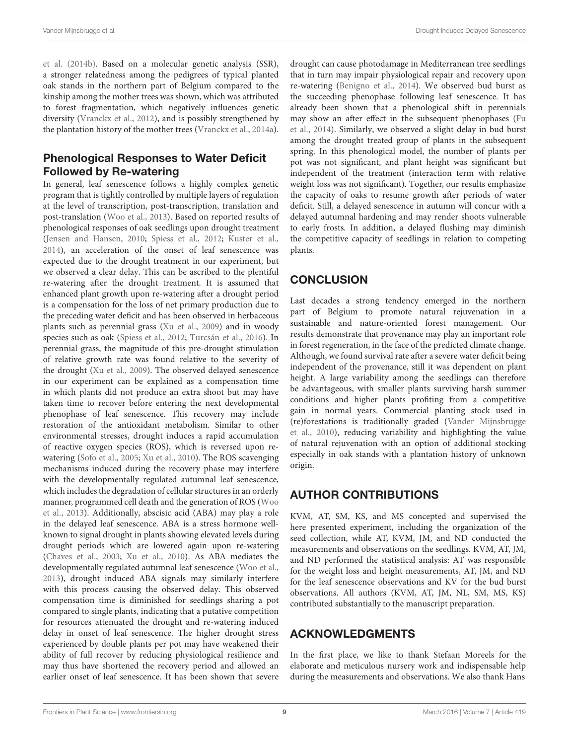[et al.](#page-10-1) [\(2014b\)](#page-10-1). Based on a molecular genetic analysis (SSR), a stronger relatedness among the pedigrees of typical planted oak stands in the northern part of Belgium compared to the kinship among the mother trees was shown, which was attributed to forest fragmentation, which negatively influences genetic diversity [\(Vranckx et al.,](#page-10-2) [2012\)](#page-10-2), and is possibly strengthened by the plantation history of the mother trees [\(Vranckx et al.,](#page-9-31) [2014a\)](#page-9-31).

# Phenological Responses to Water Deficit Followed by Re-watering

In general, leaf senescence follows a highly complex genetic program that is tightly controlled by multiple layers of regulation at the level of transcription, post-transcription, translation and post-translation [\(Woo et al.,](#page-10-3) [2013\)](#page-10-3). Based on reported results of phenological responses of oak seedlings upon drought treatment [\(Jensen and Hansen,](#page-9-11) [2010;](#page-9-11) [Spiess et al.,](#page-9-15) [2012;](#page-9-15) [Kuster et al.,](#page-9-17) [2014\)](#page-9-17), an acceleration of the onset of leaf senescence was expected due to the drought treatment in our experiment, but we observed a clear delay. This can be ascribed to the plentiful re-watering after the drought treatment. It is assumed that enhanced plant growth upon re-watering after a drought period is a compensation for the loss of net primary production due to the preceding water deficit and has been observed in herbaceous plants such as perennial grass [\(Xu et al.,](#page-10-0) [2009\)](#page-10-0) and in woody species such as oak [\(Spiess et al.,](#page-9-15) [2012;](#page-9-15) [Turcsán et al.,](#page-9-25) [2016\)](#page-9-25). In perennial grass, the magnitude of this pre-drought stimulation of relative growth rate was found relative to the severity of the drought [\(Xu et al.,](#page-10-0) [2009\)](#page-10-0). The observed delayed senescence in our experiment can be explained as a compensation time in which plants did not produce an extra shoot but may have taken time to recover before entering the next developmental phenophase of leaf senescence. This recovery may include restoration of the antioxidant metabolism. Similar to other environmental stresses, drought induces a rapid accumulation of reactive oxygen species (ROS), which is reversed upon rewatering [\(Sofo et al.,](#page-9-32) [2005;](#page-9-32) [Xu et al.,](#page-10-4) [2010\)](#page-10-4). The ROS scavenging mechanisms induced during the recovery phase may interfere with the developmentally regulated autumnal leaf senescence, which includes the degradation of cellular structures in an orderly manner, programmed cell death and the generation of ROS [\(Woo](#page-10-3) [et al.,](#page-10-3) [2013\)](#page-10-3). Additionally, abscisic acid (ABA) may play a role in the delayed leaf senescence. ABA is a stress hormone wellknown to signal drought in plants showing elevated levels during drought periods which are lowered again upon re-watering [\(Chaves et al.,](#page-9-33) [2003;](#page-9-33) [Xu et al.,](#page-10-4) [2010\)](#page-10-4). As ABA mediates the developmentally regulated autumnal leaf senescence [\(Woo et al.,](#page-10-3) [2013\)](#page-10-3), drought induced ABA signals may similarly interfere with this process causing the observed delay. This observed compensation time is diminished for seedlings sharing a pot compared to single plants, indicating that a putative competition for resources attenuated the drought and re-watering induced delay in onset of leaf senescence. The higher drought stress experienced by double plants per pot may have weakened their ability of full recover by reducing physiological resilience and may thus have shortened the recovery period and allowed an earlier onset of leaf senescence. It has been shown that severe

drought can cause photodamage in Mediterranean tree seedlings that in turn may impair physiological repair and recovery upon re-watering [\(Benigno et al.,](#page-9-34) [2014\)](#page-9-34). We observed bud burst as the succeeding phenophase following leaf senescence. It has already been shown that a phenological shift in perennials may show an after effect in the subsequent phenophases [\(Fu](#page-9-35) [et al.,](#page-9-35) [2014\)](#page-9-35). Similarly, we observed a slight delay in bud burst among the drought treated group of plants in the subsequent spring. In this phenological model, the number of plants per pot was not significant, and plant height was significant but independent of the treatment (interaction term with relative weight loss was not significant). Together, our results emphasize the capacity of oaks to resume growth after periods of water deficit. Still, a delayed senescence in autumn will concur with a delayed autumnal hardening and may render shoots vulnerable to early frosts. In addition, a delayed flushing may diminish the competitive capacity of seedlings in relation to competing plants.

# **CONCLUSION**

Last decades a strong tendency emerged in the northern part of Belgium to promote natural rejuvenation in a sustainable and nature-oriented forest management. Our results demonstrate that provenance may play an important role in forest regeneration, in the face of the predicted climate change. Although, we found survival rate after a severe water deficit being independent of the provenance, still it was dependent on plant height. A large variability among the seedlings can therefore be advantageous, with smaller plants surviving harsh summer conditions and higher plants profiting from a competitive gain in normal years. Commercial planting stock used in (re)forestations is traditionally graded [\(Vander Mijnsbrugge](#page-9-36) [et al.,](#page-9-36) [2010\)](#page-9-36), reducing variability and highlighting the value of natural rejuvenation with an option of additional stocking especially in oak stands with a plantation history of unknown origin.

# AUTHOR CONTRIBUTIONS

KVM, AT, SM, KS, and MS concepted and supervised the here presented experiment, including the organization of the seed collection, while AT, KVM, JM, and ND conducted the measurements and observations on the seedlings. KVM, AT, JM, and ND performed the statistical analysis: AT was responsible for the weight loss and height measurements, AT, JM, and ND for the leaf senescence observations and KV for the bud burst observations. All authors (KVM, AT, JM, NL, SM, MS, KS) contributed substantially to the manuscript preparation.

# ACKNOWLEDGMENTS

In the first place, we like to thank Stefaan Moreels for the elaborate and meticulous nursery work and indispensable help during the measurements and observations. We also thank Hans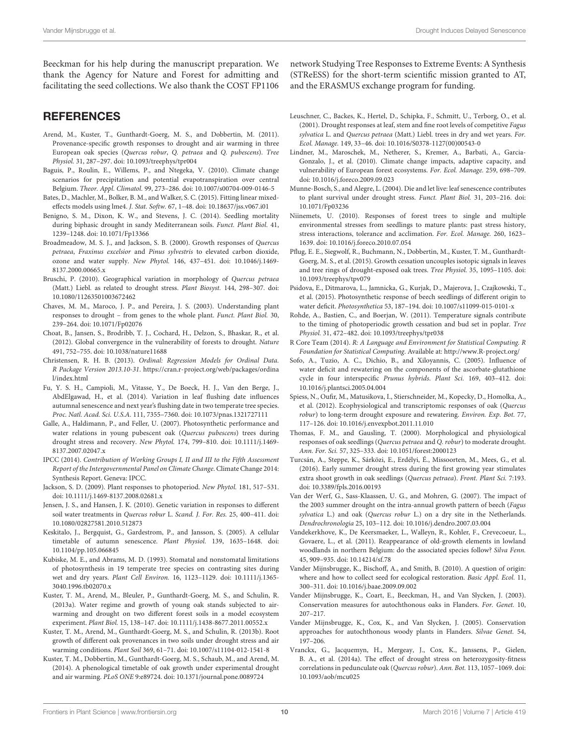Beeckman for his help during the manuscript preparation. We thank the Agency for Nature and Forest for admitting and facilitating the seed collections. We also thank the COST FP1106

### **REFERENCES**

- <span id="page-9-12"></span>Arend, M., Kuster, T., Gunthardt-Goerg, M. S., and Dobbertin, M. (2011). Provenance-specific growth responses to drought and air warming in three European oak species (Quercus robur, Q. petraea and Q. pubescens). Tree Physiol. 31, 287–297. doi: 10.1093/treephys/tpr004
- <span id="page-9-3"></span>Baguis, P., Roulin, E., Willems, P., and Ntegeka, V. (2010). Climate change scenarios for precipitation and potential evapotranspiration over central Belgium. Theor. Appl. Climatol. 99, 273–286. doi: 10.1007/s00704-009-0146-5
- <span id="page-9-27"></span>Bates, D., Machler, M., Bolker, B. M., and Walker, S. C. (2015). Fitting linear mixedeffects models using lme4. J. Stat. Softw. 67, 1–48. doi: 10.18637/jss.v067.i01
- <span id="page-9-34"></span>Benigno, S. M., Dixon, K. W., and Stevens, J. C. (2014). Seedling mortality during biphasic drought in sandy Mediterranean soils. Funct. Plant Biol. 41, 1239–1248. doi: 10.1071/Fp13366
- <span id="page-9-13"></span>Broadmeadow, M. S. J., and Jackson, S. B. (2000). Growth responses of Quercus petraea, Fraxinus excelsior and Pinus sylvestris to elevated carbon dioxide, ozone and water supply. New Phytol. 146, 437–451. doi: 10.1046/j.1469- 8137.2000.00665.x
- <span id="page-9-10"></span>Bruschi, P. (2010). Geographical variation in morphology of Quercus petraea (Matt.) Liebl. as related to drought stress. Plant Biosyst. 144, 298–307. doi: 10.1080/11263501003672462
- <span id="page-9-33"></span>Chaves, M. M., Maroco, J. P., and Pereira, J. S. (2003). Understanding plant responses to drought – from genes to the whole plant. Funct. Plant Biol. 30, 239–264. doi: 10.1071/Fp02076
- <span id="page-9-2"></span>Choat, B., Jansen, S., Brodribb, T. J., Cochard, H., Delzon, S., Bhaskar, R., et al. (2012). Global convergence in the vulnerability of forests to drought. Nature 491, 752–755. doi: 10.1038/nature11688
- <span id="page-9-28"></span>Christensen, R. H. B. (2013). Ordinal: Regression Models for Ordinal Data. R Package Version 2013.10-31. [https://cran.r-project.org/web/packages/ordina](https://cran.r-project.org/web/packages/ordinal/index.html) [l/index.html](https://cran.r-project.org/web/packages/ordinal/index.html)
- <span id="page-9-35"></span>Fu, Y. S. H., Campioli, M., Vitasse, Y., De Boeck, H. J., Van den Berge, J., AbdElgawad, H., et al. (2014). Variation in leaf flushing date influences autumnal senescence and next year's flushing date in two temperate tree species. Proc. Natl. Acad. Sci. U.S.A. 111, 7355–7360. doi: 10.1073/pnas.1321727111
- <span id="page-9-7"></span>Galle, A., Haldimann, P., and Feller, U. (2007). Photosynthetic performance and water relations in young pubescent oak (Quercus pubescens) trees during drought stress and recovery. New Phytol. 174, 799–810. doi: 10.1111/j.1469- 8137.2007.02047.x
- <span id="page-9-0"></span>IPCC (2014). Contribution of Working Groups I, II and III to the Fifth Assessment Report of the Intergovernmental Panel on Climate Change. Climate Change 2014: Synthesis Report. Geneva: IPCC.
- <span id="page-9-20"></span>Jackson, S. D. (2009). Plant responses to photoperiod. New Phytol. 181, 517–531. doi: 10.1111/j.1469-8137.2008.02681.x
- <span id="page-9-11"></span>Jensen, J. S., and Hansen, J. K. (2010). Genetic variation in responses to different soil water treatments in Quercus robur L. Scand. J. For. Res. 25, 400–411. doi: 10.1080/02827581.2010.512873
- <span id="page-9-19"></span>Keskitalo, J., Bergquist, G., Gardestrom, P., and Jansson, S. (2005). A cellular timetable of autumn senescence. Plant Physiol. 139, 1635–1648. doi: 10.1104/pp.105.066845
- <span id="page-9-6"></span>Kubiske, M. E., and Abrams, M. D. (1993). Stomatal and nonstomatal limitations of photosynthesis in 19 temperate tree species on contrasting sites during wet and dry years. Plant Cell Environ. 16, 1123–1129. doi: 10.1111/j.1365- 3040.1996.tb02070.x
- <span id="page-9-8"></span>Kuster, T. M., Arend, M., Bleuler, P., Gunthardt-Goerg, M. S., and Schulin, R. (2013a). Water regime and growth of young oak stands subjected to airwarming and drought on two different forest soils in a model ecosystem experiment. Plant Biol. 15, 138–147. doi: 10.1111/j.1438-8677.2011.00552.x
- <span id="page-9-9"></span>Kuster, T. M., Arend, M., Gunthardt-Goerg, M. S., and Schulin, R. (2013b). Root growth of different oak provenances in two soils under drought stress and air warming conditions. Plant Soil 369, 61–71. doi: 10.1007/s11104-012-1541-8
- <span id="page-9-17"></span>Kuster, T. M., Dobbertin, M., Gunthardt-Goerg, M. S., Schaub, M., and Arend, M. (2014). A phenological timetable of oak growth under experimental drought and air warming. PLoS ONE 9:e89724. doi: 10.1371/journal.pone.0089724

network Studying Tree Responses to Extreme Events: A Synthesis (STReESS) for the short-term scientific mission granted to AT, and the ERASMUS exchange program for funding.

- <span id="page-9-5"></span>Leuschner, C., Backes, K., Hertel, D., Schipka, F., Schmitt, U., Terborg, O., et al. (2001). Drought responses at leaf, stem and fine root levels of competitive Fagus sylvatica L. and Quercus petraea (Matt.) Liebl. trees in dry and wet years. For. Ecol. Manage. 149, 33–46. doi: 10.1016/S0378-1127(00)00543-0
- <span id="page-9-1"></span>Lindner, M., Maroschek, M., Netherer, S., Kremer, A., Barbati, A., Garcia-Gonzalo, J., et al. (2010). Climate change impacts, adaptive capacity, and vulnerability of European forest ecosystems. For. Ecol. Manage. 259, 698–709. doi: 10.1016/j.foreco.2009.09.023
- <span id="page-9-21"></span>Munne-Bosch, S., and Alegre, L. (2004). Die and let live: leaf senescence contributes to plant survival under drought stress. Funct. Plant Biol. 31, 203–216. doi: 10.1071/Fp03236
- <span id="page-9-22"></span>Niinemets, U. (2010). Responses of forest trees to single and multiple environmental stresses from seedlings to mature plants: past stress history, stress interactions, tolerance and acclimation. For. Ecol. Manage. 260, 1623– 1639. doi: 10.1016/j.foreco.2010.07.054
- <span id="page-9-16"></span>Pflug, E. E., Siegwolf, R., Buchmann, N., Dobbertin, M., Kuster, T. M., Gunthardt-Goerg, M. S., et al. (2015). Growth cessation uncouples isotopic signals in leaves and tree rings of drought-exposed oak trees. Tree Physiol. 35, 1095–1105. doi: 10.1093/treephys/tpv079
- <span id="page-9-23"></span>Psidova, E., Ditmarova, L., Jamnicka, G., Kurjak, D., Majerova, J., Czajkowski, T., et al. (2015). Photosynthetic response of beech seedlings of different origin to water deficit. Photosynthetica 53, 187–194. doi: 10.1007/s11099-015-0101-x
- <span id="page-9-18"></span>Rohde, A., Bastien, C., and Boerjan, W. (2011). Temperature signals contribute to the timing of photoperiodic growth cessation and bud set in poplar. Tree Physiol. 31, 472–482. doi: 10.1093/treephys/tpr038
- <span id="page-9-26"></span>R Core Team (2014). R: A Language and Environment for Statistical Computing. R Foundation for Statistical Computing. Available at: <http://www.R-project.org/>
- <span id="page-9-32"></span>Sofo, A., Tuzio, A. C., Dichio, B., and Xiloyannis, C. (2005). Influence of water deficit and rewatering on the components of the ascorbate-glutathione cycle in four interspecific Prunus hybrids. Plant Sci. 169, 403–412. doi: 10.1016/j.plantsci.2005.04.004
- <span id="page-9-15"></span>Spiess, N., Oufir, M., Matusikova, I., Stierschneider, M., Kopecky, D., Homolka, A., et al. (2012). Ecophysiological and transcriptomic responses of oak (Quercus robur) to long-term drought exposure and rewatering. Environ. Exp. Bot. 77, 117–126. doi: 10.1016/j.envexpbot.2011.11.010
- <span id="page-9-14"></span>Thomas, F. M., and Gausling, T. (2000). Morphological and physiological responses of oak seedlings (Quercus petraea and Q. robur) to moderate drought. Ann. For. Sci. 57, 325–333. doi: 10.1051/forest:2000123
- <span id="page-9-25"></span>Turcsán, A., Steppe, K., Sárközi, E., Erdélyi, É., Missoorten, M., Mees, G., et al. (2016). Early summer drought stress during the first growing year stimulates extra shoot growth in oak seedlings (Quercus petraea). Front. Plant Sci. 7:193. doi: 10.3389/fpls.2016.00193
- <span id="page-9-4"></span>Van der Werf, G., Sass-Klaassen, U. G., and Mohren, G. (2007). The impact of the 2003 summer drought on the intra-annual growth pattern of beech (Fagus sylvatica L.) and oak (Quercus robur L.) on a dry site in the Netherlands. Dendrochronologia 25, 103–112. doi: 10.1016/j.dendro.2007.03.004
- <span id="page-9-30"></span>Vandekerkhove, K., De Keersmaeker, L., Walleyn, R., Kohler, F., Crevecoeur, L., Govaere, L., et al. (2011). Reappearance of old-growth elements in lowland woodlands in northern Belgium: do the associated species follow? Silva Fenn. 45, 909–935. doi: 10.14214/sf.78
- <span id="page-9-36"></span>Vander Mijnsbrugge, K., Bischoff, A., and Smith, B. (2010). A question of origin: where and how to collect seed for ecological restoration. Basic Appl. Ecol. 11, 300–311. doi: 10.1016/j.baae.2009.09.002
- <span id="page-9-24"></span>Vander Mijnsbrugge, K., Coart, E., Beeckman, H., and Van Slycken, J. (2003). Conservation measures for autochthonous oaks in Flanders. For. Genet. 10, 207–217.
- <span id="page-9-29"></span>Vander Mijnsbrugge, K., Cox, K., and Van Slycken, J. (2005). Conservation approaches for autochthonous woody plants in Flanders. Silvae Genet. 54, 197–206.
- <span id="page-9-31"></span>Vranckx, G., Jacquemyn, H., Mergeay, J., Cox, K., Janssens, P., Gielen, B. A., et al. (2014a). The effect of drought stress on heterozygosity-fitness correlations in pedunculate oak (Quercus robur). Ann. Bot. 113, 1057–1069. doi: 10.1093/aob/mcu025